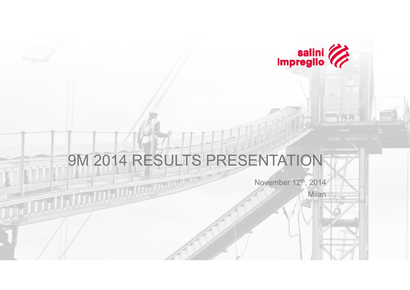

## 9M 2014 RESULTS PRESENTATION

November 12th, 2014

Milan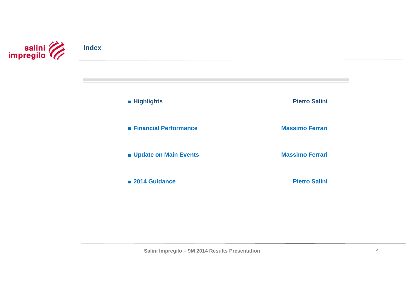

■ **Highlights**

**Pietro Salini**

■ **Financial Performance**

■ **Update on Main Events** 

■ **2014 Guidance**

**Massimo Ferrari**

**Massimo Ferrari**

**Pietro Salini**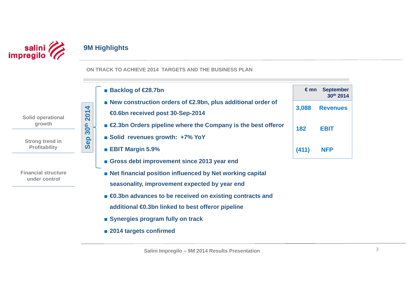

**growth**

**under control**

## **9M Highlights**

**ON TRACK TO ACHIEVE 2014 TARGETS AND THE BUSINESS PLAN**

- **€ mn September**  ■ **Backlog of €28.7bn 30th 2014**■ **New construction orders of €2.9bn, plus additional order of** 2014 **3,088 Revenues Sep 30th 2014 €0.6bn received post 30-Sep-2014 Solid operational**   $30<sup>th</sup>$ ■ **€2.3bn Orders pipeline where the Company is the best offeror 182 EBIT**■ Solid revenues growth: +7% YoY **Sep Strong trend in Profitability**  ■ **EBIT Margin 5.9% (411) NFP** ■ Gross debt improvement since 2013 year end **Financial structure** ■ **Net financial position influenced by Net working capital** 
	- **seasonality, improvement expected by year end**
	- *€***0.3bn advances to be received on existing contracts and additional €0.3bn linked to best offeror pipeline**
	- Synergies program fully on track
	- **2014 targets confirmed**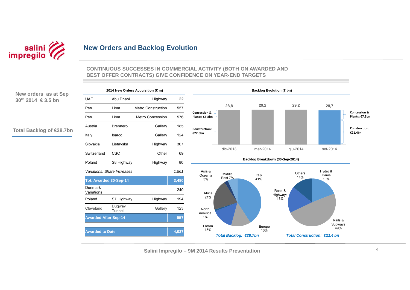

## **New Orders and Backlog Evolution**

#### **CONTINUOUS SUCCESSES IN COMMERCIAL ACTIVITY (BOTH ON AWARDED AND BEST OFFER CONTRACTS) GIVE CONFIDENCE ON YEAR-END TARGETS**

**New orders as at Sep 30th 2014 € 3.5 bn**

**Total Backlog of €28.7bn**

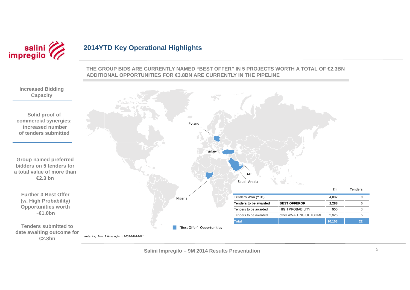

## **2014YTD Key Operational Highlights**

**THE GROUP BIDS ARE CURRENTLY NAMED "BEST OFFER" IN 5 PROJECTS WORTH A TOTAL OF €2.3BN ADDITIONAL OPPORTUNITIES FOR €3.8BN ARE CURRENTLY IN THE PIPELINE**

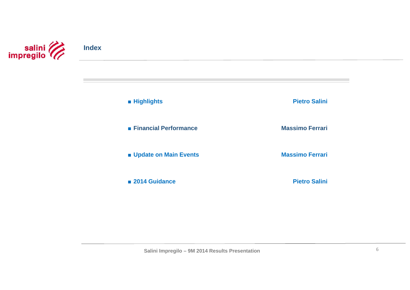

■ **Highlights**

■ **Financial Performance**

■ **Update on Main Events** 

■ **2014 Guidance**

**Pietro Salini**

**Massimo Ferrari**

**Massimo Ferrari**

**Pietro Salini**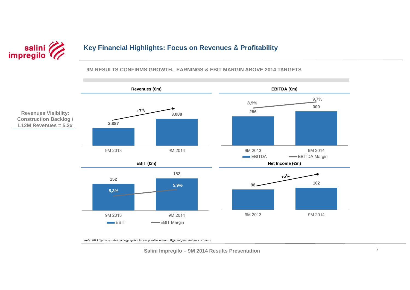

## **Key Financial Highlights: Focus on Revenues & Profitability**

#### **9M RESULTS CONFIRMS GROWTH. EARNINGS & EBIT MARGIN ABOVE 2014 TARGETS**



*Note: 2013 Figures restated and aggregated for comparative reasons. Different from statutory accounts*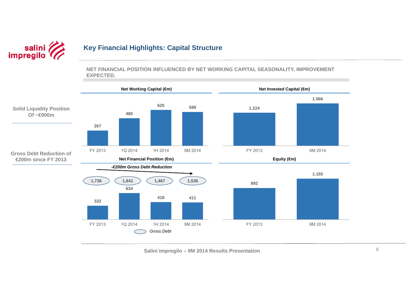

## **Key Financial Highlights: Capital Structure**

**NET FINANCIAL POSITION INFLUENCED BY NET WORKING CAPITAL SEASONALITY, IMPROVEMENT EXPECTED.**

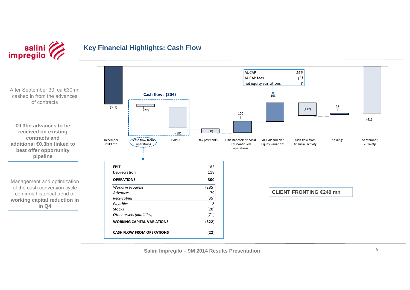

## **Key Financial Highlights: Cash Flow**

After September 30, ca €30mn cashed in from the advances of contracts

**€0.3bn advances to be received on existing contracts and additional €0.3bn linked to best offer opportunity pipeline**

Management and optimization of the cash conversion cycle confirms historical trend of **working capital reduction in in Q4**

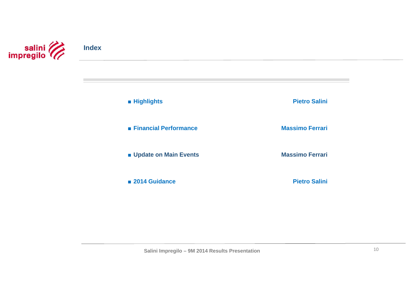

■ **Highlights**

■ **Financial Performance**

■ **Update on Main Events** 

■ **2014 Guidance**

**Pietro Salini**

**Massimo Ferrari**

**Massimo Ferrari**

**Pietro Salini**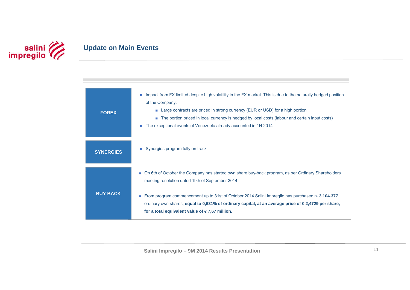

## **Update on Main Events**

| <b>FOREX</b>     | Impact from FX limited despite high volatility in the FX market. This is due to the naturally hedged position<br>a.<br>of the Company:<br>Large contracts are priced in strong currency (EUR or USD) for a high portion<br><b>COL</b><br>The portion priced in local currency is hedged by local costs (labour and certain input costs)<br>п<br>The exceptional events of Venezuela already accounted in 1H 2014<br>ш               |
|------------------|-------------------------------------------------------------------------------------------------------------------------------------------------------------------------------------------------------------------------------------------------------------------------------------------------------------------------------------------------------------------------------------------------------------------------------------|
| <b>SYNERGIES</b> | ■ Synergies program fully on track                                                                                                                                                                                                                                                                                                                                                                                                  |
| <b>BUY BACK</b>  | ■ On 6th of October the Company has started own share buy-back program, as per Ordinary Shareholders<br>meeting resolution dated 19th of September 2014<br>From program commencement up to 31st of October 2014 Salini Impregilo has purchased n. 3.104.377<br>ordinary own shares, equal to 0,631% of ordinary capital, at an average price of $\in$ 2,4729 per share,<br>for a total equivalent value of $\epsilon$ 7,67 million. |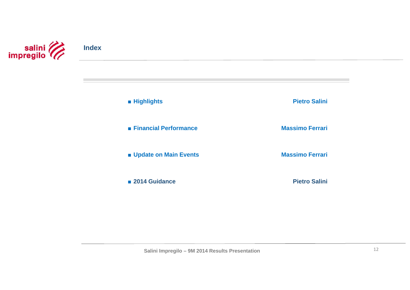

■ **Highlights**

■ **Financial Performance**

■ **Update on Main Events** 

■ **2014 Guidance**

**Pietro Salini**

**Massimo Ferrari**

**Massimo Ferrari**

**Pietro Salini**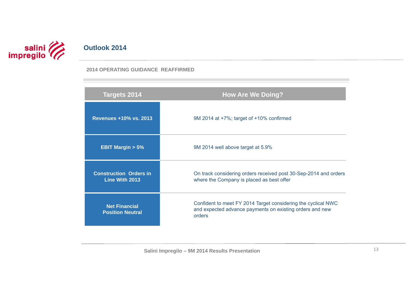# salini **Compregilo**

## **Outlook 2014**

### **2014 OPERATING GUIDANCE REAFFIRMED**

| <b>Targets 2014</b>                             | <b>How Are We Doing?</b>                                                                                                            |
|-------------------------------------------------|-------------------------------------------------------------------------------------------------------------------------------------|
| <b>Revenues +10% vs. 2013</b>                   | 9M 2014 at +7%; target of +10% confirmed                                                                                            |
| <b>EBIT Margin <math>&gt; 5\%</math></b>        | 9M 2014 well above target at 5.9%                                                                                                   |
| <b>Construction Orders in</b><br>Line With 2013 | On track considering orders received post 30-Sep-2014 and orders<br>where the Company is placed as best offer                       |
| <b>Net Financial</b><br><b>Position Neutral</b> | Confident to meet FY 2014 Target considering the cyclical NWC<br>and expected advance payments on existing orders and new<br>orders |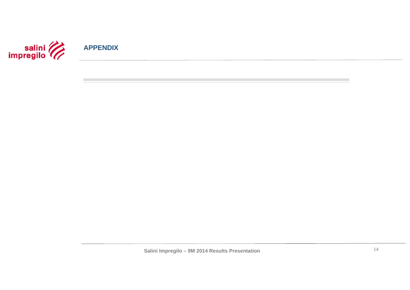

**APPENDIX**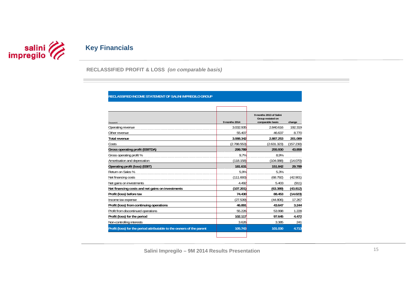

## **Key Financials**

**RECLASSIFIED PROFIT & LOSS** *(on comparable basis)* 

#### **RECLASSIFIED INCOME STATEMENT OF SALINI IMPREGILO GROUP**

| Thousand $\epsilon$                                                   | 9 months 2014 | 9 months 2013 of Salini<br>Group restated on<br>comparable basis | change    |
|-----------------------------------------------------------------------|---------------|------------------------------------------------------------------|-----------|
| Operating revenue                                                     | 3.032.935     | 2.840.616                                                        | 192.319   |
| Other revenue                                                         | 55.407        | 46.637                                                           | 8.770     |
| <b>Total revenue</b>                                                  | 3.088.342     | 2.887.253                                                        | 201.089   |
| Costs                                                                 | (2.788.553)   | (2.631.323)                                                      | (157.230) |
| Gross operating profit (EBITDA)                                       | 299.789       | 255.930                                                          | 43.859    |
| Gross operating profit %                                              | 9.7%          | 8.9%                                                             |           |
| Amortisation and deprecation                                          | (118.158)     | (104.088)                                                        | (14.070)  |
| Operating profit (loss) (EBIT)                                        | 181.631       | 151.842                                                          | 29.789    |
| Return on Sales %                                                     | 5.9%          | 5.3%                                                             |           |
| Net financing costs                                                   | (111.693)     | (68.792)                                                         | (42.901)  |
| Net gains on investments                                              | 4.492         | 5.403                                                            | (911)     |
| Net financing costs and net gains on investments                      | (107.201)     | (63.389)                                                         | (43.812)  |
| Profit (loss) before tax                                              | 74.430        | 88.453                                                           | (14.023)  |
| Income tax expense                                                    | (27.539)      | (44.806)                                                         | 17.267    |
| Profit (loss) from continuing operations                              | 46.891        | 43.647                                                           | 3.244     |
| Profit from discontinued operations                                   | 55.226        | 53.998                                                           | 1.228     |
| Profit (loss) for the period                                          | 102.117       | 97.645                                                           | 4.472     |
| Non-controlling interests                                             | 3.626         | 3.385                                                            | 241       |
| Profit (loss) for the period attributable to the owners of the parent | 105.743       | 101.030                                                          | 4.713     |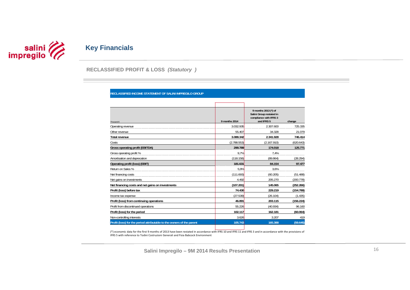

**RECLASSIFIED PROFIT & LOSS** *(Statutory )* 

| Thousand $\epsilon$                                                   | 9 months 2014 | 9 months 2013 (*) of<br>Salini Group restated in<br>compliance with IFRS 3<br>and IFRS 5 | change    |
|-----------------------------------------------------------------------|---------------|------------------------------------------------------------------------------------------|-----------|
| Operating revenue                                                     | 3.032.935     | 2.307.600                                                                                | 725.335   |
| Other revenue                                                         | 55.407        | 34.328                                                                                   | 21.079    |
| Total revenue                                                         | 3.088.342     | 2.341.928                                                                                | 746.414   |
| Costs                                                                 | (2.788.553)   | (2.167.910)                                                                              | (620.643) |
| <b>Gross operating profit (EBITDA)</b>                                | 299.789       | 174.018                                                                                  | 125.771   |
| Gross operating profit %                                              | 9,7%          | 7,4%                                                                                     |           |
| Amortisation and deprecation                                          | (118.158)     | (89.864)                                                                                 | (28.294)  |
| Operating profit (loss) (EBIT)                                        | 181.631       | 84.154                                                                                   | 97.477    |
| Return on Sales %                                                     | 5.9%          | 3.6%                                                                                     |           |
| Net financing costs                                                   | (111.693)     | (60.205)                                                                                 | (51.488)  |
| Net gains on investments                                              | 4.492         | 205.270                                                                                  | (200.778) |
| Net financing costs and net gains on investments                      | (107.201)     | 145.065                                                                                  | (252.266) |
| Profit (loss) before tax                                              | 74.430        | 229.219                                                                                  | (154.789) |
| Income tax expense                                                    | (27.539)      | (26.104)                                                                                 | (1.435)   |
| Profit (loss) from continuing operations                              | 46.891        | 203.115                                                                                  | (156.224) |
| Profit from discontinued operations                                   | 55.226        | (40.934)                                                                                 | 96.160    |
| Profit (loss) for the period                                          | 102.117       | 162.181                                                                                  | (60.064)  |
| Non-controlling interests                                             | 3.626         | 3.207                                                                                    | 419       |
| Profit (loss) for the period attributable to the owners of the parent | 105.743       | 165.388                                                                                  | (59.645)  |

IFRS 5 with reference to Todini Costruzioni Generali and Fisia Babcock Environment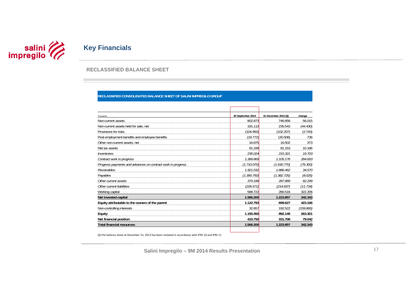

#### **RECLASSIFIED BALANCE SHEET**

#### **RECLASSIFIED CONSOLIDATED BALANCE SHEET OF SALINI IMPREGILO GROUP**

| Thousand $\epsilon$                                         | 30 September 2014 | 31 December 2013 (§) | change    |
|-------------------------------------------------------------|-------------------|----------------------|-----------|
| Non-current assets                                          | 802.873           | 746.858              | 56.015    |
| Non-current assets held for sale, net                       | 191.113           | 235.543              | (44.430)  |
| Provisions for risks                                        | (104.950)         | (102.207)            | (2.743)   |
| Post-employment benefits and employee benefits              | (19.772)          | (20.508)             | 736       |
| Other non-current assets, net                               | 16.875            | 16.502               | 373       |
| Net tax assets                                              | 91.339            | 81.153               | 10.186    |
| Inventories                                                 | 235.024           | 215.321              | 19.703    |
| Contract work in progress                                   | 1.389.869         | 1.105.176            | 284.693   |
| Progress payments and advances on contract work in progress | (1.710.070)       | (1.630.770)          | (79.300)  |
| Receivables                                                 | 1.921.032         | 1.886.462            | 34.570    |
| Payables                                                    | (1.390.750)       | (1.382.725)          | (8.025)   |
| Other current assets                                        | 370.188           | 287.889              | 82.299    |
| Other current liabilities                                   | (226.571)         | (214.837)            | (11.734)  |
| Working capital                                             | 588.722           | 266.516              | 322.206   |
| Net invested capital                                        | 1.566.200         | 1.223.857            | 342.343   |
| Equity attributable to the owners of the parent             | 1.122.793         | 699.627              | 423.166   |
| Non-controlling interests                                   | 32.657            | 192.522              | (159.865) |
| Equity                                                      | 1.155.450         | 892.149              | 263.301   |
| Net financial position                                      | 410.750           | 331.708              | 79.042    |
| <b>Total financial resources</b>                            | 1.566.200         | 1.223.857            | 342.343   |

(§) the balance sheet at December 31, 2013 has been restated in accordance with IFRS 10 and IFRS 11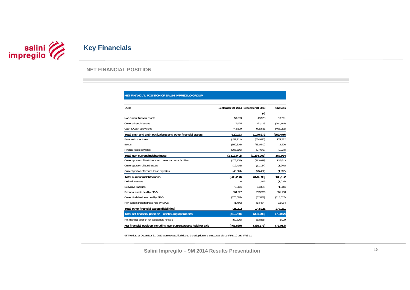

#### **NET FINANCIAL POSITION**

#### **NET FINANCIAL POSITION OF SALINI IMPREGILO GROUP**

| f/000                                                             | September 30 2014 December 31 2013 |             | Changes    |
|-------------------------------------------------------------------|------------------------------------|-------------|------------|
|                                                                   |                                    | (a)         |            |
| Non current financial assets                                      | 59.689                             | 48.928      | 10.761     |
| Current financial assets                                          | 17.925                             | 222,113     | (204, 188) |
| Cash & Cash equivalents                                           | 442,579                            | 908,631     | (466, 052) |
| Total cash and cash equivalents and other financial assets        | 520,193                            | 1,179,672   | (659, 479) |
| Bank and other loans                                              | (459, 911)                         | (634, 693)  | 174,782    |
| <b>Bonds</b>                                                      | (550, 336)                         | (552, 542)  | 2,206      |
| Finance lease payables                                            | (106, 695)                         | (97, 671)   | (9,024)    |
| <b>Total non-current indebtedness</b>                             | (1, 116, 942)                      | (1,284,906) | 167,964    |
| Current portion of bank loans and current account facilities      | (176, 176)                         | (313, 819)  | 137,643    |
| Current portion of bond issues                                    | (12, 403)                          | (11, 154)   | (1, 249)   |
| Current portion of finance lease payables                         | (46, 624)                          | (45, 422)   | (1, 202)   |
| <b>Total current indebtedness</b>                                 | (235, 203)                         | (370, 395)  | 135,192    |
| Derivative assets                                                 | $\Omega$                           | 1,016       | (1,016)    |
| Derivative liabilities                                            | (5,662)                            | (4, 354)    | (1, 308)   |
| Financial assets held by SPVs                                     | 604,927                            | 223,789     | 381,138    |
| Current indebtedness held by SPVs                                 | (176, 663)                         | (62,046)    | (114, 617) |
| Non-current indebtedness held by SPVs                             | (1,400)                            | (14, 484)   | 13,084     |
| Total other financial assets (liabilities)                        | 421,202                            | 143,921     | 277,281    |
| Total net financial position - continuing operations              | (410, 750)                         | (331,708)   | (79, 042)  |
| Net financial position for assets held for sale                   | (50, 839)                          | (53,868)    | 3,029      |
| Net financial position including non-current assets held for sale | (461,589)                          | (385, 576)  | (76, 013)  |

(a)The data at December 31, 2013 were reclassified due to the adoption of the new standards IFRS 10 and IFRS 11.